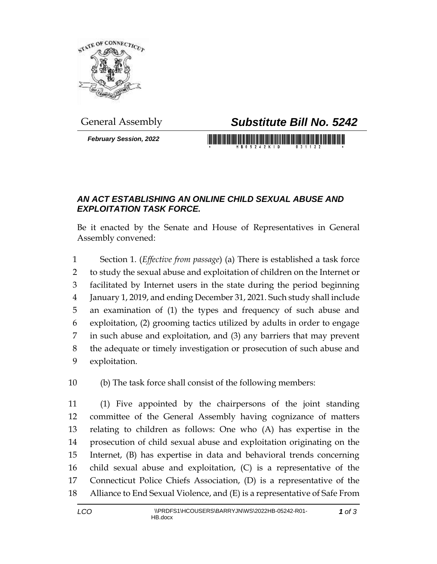

*February Session, 2022*

## General Assembly *Substitute Bill No. 5242*

## *AN ACT ESTABLISHING AN ONLINE CHILD SEXUAL ABUSE AND EXPLOITATION TASK FORCE.*

Be it enacted by the Senate and House of Representatives in General Assembly convened:

 Section 1. (*Effective from passage*) (a) There is established a task force to study the sexual abuse and exploitation of children on the Internet or facilitated by Internet users in the state during the period beginning January 1, 2019, and ending December 31, 2021. Such study shall include an examination of (1) the types and frequency of such abuse and exploitation, (2) grooming tactics utilized by adults in order to engage in such abuse and exploitation, and (3) any barriers that may prevent the adequate or timely investigation or prosecution of such abuse and exploitation.

(b) The task force shall consist of the following members:

 (1) Five appointed by the chairpersons of the joint standing committee of the General Assembly having cognizance of matters relating to children as follows: One who (A) has expertise in the prosecution of child sexual abuse and exploitation originating on the Internet, (B) has expertise in data and behavioral trends concerning child sexual abuse and exploitation, (C) is a representative of the Connecticut Police Chiefs Association, (D) is a representative of the Alliance to End Sexual Violence, and (E) is a representative of Safe From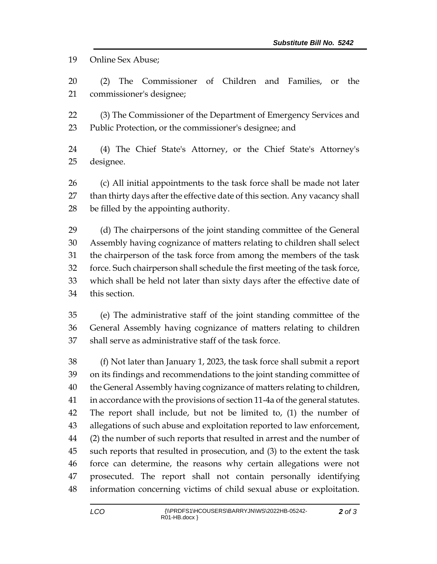Online Sex Abuse;

 (2) The Commissioner of Children and Families, or the commissioner's designee;

 (3) The Commissioner of the Department of Emergency Services and Public Protection, or the commissioner's designee; and

 (4) The Chief State's Attorney, or the Chief State's Attorney's designee.

 (c) All initial appointments to the task force shall be made not later than thirty days after the effective date of this section. Any vacancy shall be filled by the appointing authority.

 (d) The chairpersons of the joint standing committee of the General Assembly having cognizance of matters relating to children shall select the chairperson of the task force from among the members of the task force. Such chairperson shall schedule the first meeting of the task force, which shall be held not later than sixty days after the effective date of this section.

 (e) The administrative staff of the joint standing committee of the General Assembly having cognizance of matters relating to children shall serve as administrative staff of the task force.

 (f) Not later than January 1, 2023, the task force shall submit a report on its findings and recommendations to the joint standing committee of the General Assembly having cognizance of matters relating to children, in accordance with the provisions of section 11-4a of the general statutes. The report shall include, but not be limited to, (1) the number of allegations of such abuse and exploitation reported to law enforcement, (2) the number of such reports that resulted in arrest and the number of such reports that resulted in prosecution, and (3) to the extent the task force can determine, the reasons why certain allegations were not prosecuted. The report shall not contain personally identifying information concerning victims of child sexual abuse or exploitation.